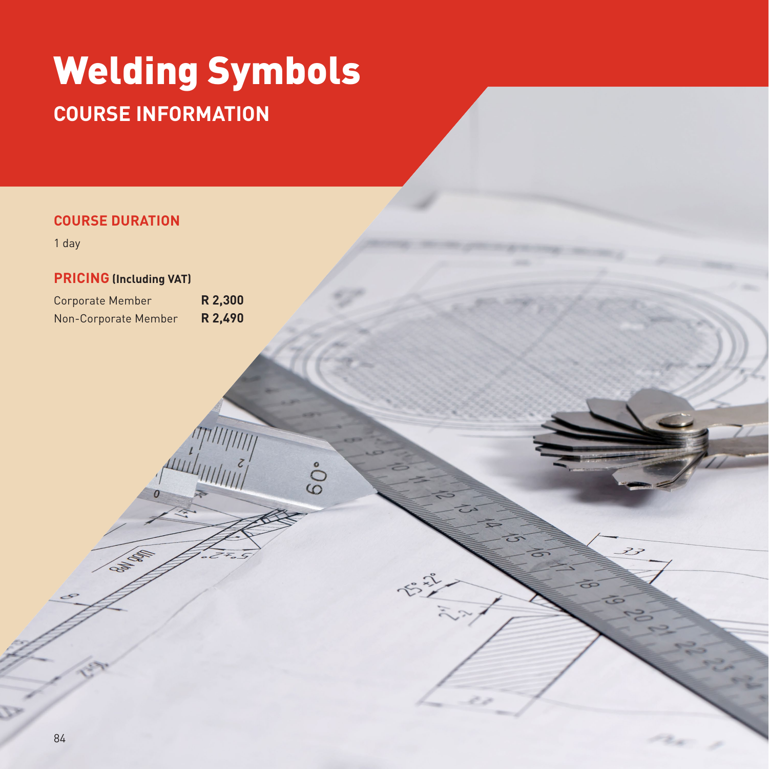# Welding Symbols **COURSE INFORMATION**

 $60°$ 

## **COURSE DURATION**

1 day

#### **PRICING (Including VAT)**

Capital Region

Corporate Member **R 2,300** Non-Corporate Member **R 2,490**